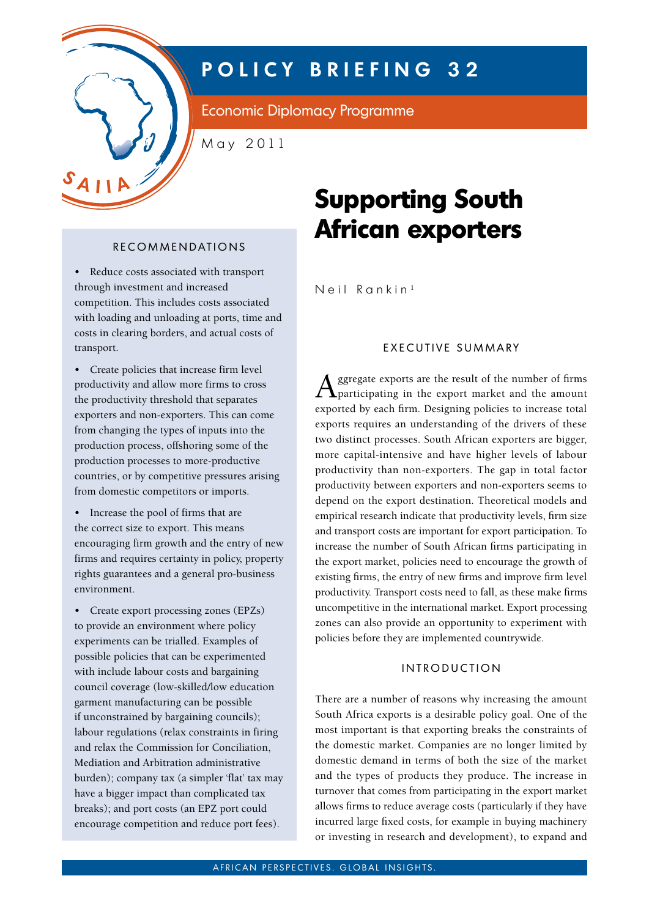

## **P O L I C Y B R I E F I N G 3 2**

Economic Diplomacy Programme

May 2011

• Reduce costs associated with transport through investment and increased competition. This includes costs associated with loading and unloading at ports, time and costs in clearing borders, and actual costs of transport.

• Create policies that increase firm level productivity and allow more firms to cross the productivity threshold that separates exporters and non-exporters. This can come from changing the types of inputs into the production process, offshoring some of the production processes to more-productive countries, or by competitive pressures arising from domestic competitors or imports.

• Increase the pool of firms that are the correct size to export. This means encouraging firm growth and the entry of new firms and requires certainty in policy, property rights guarantees and a general pro-business environment.

• Create export processing zones (EPZs) to provide an environment where policy experiments can be trialled. Examples of possible policies that can be experimented with include labour costs and bargaining council coverage (low-skilled/low education garment manufacturing can be possible if unconstrained by bargaining councils); labour regulations (relax constraints in firing and relax the Commission for Conciliation, Mediation and Arbitration administrative burden); company tax (a simpler 'flat' tax may have a bigger impact than complicated tax breaks); and port costs (an EPZ port could encourage competition and reduce port fees).

# **Supporting South African exporters**

Neil Rankin<sup>1</sup>

#### EXECUTIVE SUMMARY

Aggregate exports are the result of the number of firms participating in the export market and the amount exported by each firm. Designing policies to increase total exports requires an understanding of the drivers of these two distinct processes. South African exporters are bigger, more capital-intensive and have higher levels of labour productivity than non-exporters. The gap in total factor productivity between exporters and non-exporters seems to depend on the export destination. Theoretical models and empirical research indicate that productivity levels, firm size and transport costs are important for export participation. To increase the number of South African firms participating in the export market, policies need to encourage the growth of existing firms, the entry of new firms and improve firm level productivity. Transport costs need to fall, as these make firms uncompetitive in the international market. Export processing zones can also provide an opportunity to experiment with policies before they are implemented countrywide.

#### INTRODUCTION

There are a number of reasons why increasing the amount South Africa exports is a desirable policy goal. One of the most important is that exporting breaks the constraints of the domestic market. Companies are no longer limited by domestic demand in terms of both the size of the market and the types of products they produce. The increase in turnover that comes from participating in the export market allows firms to reduce average costs (particularly if they have incurred large fixed costs, for example in buying machinery or investing in research and development), to expand and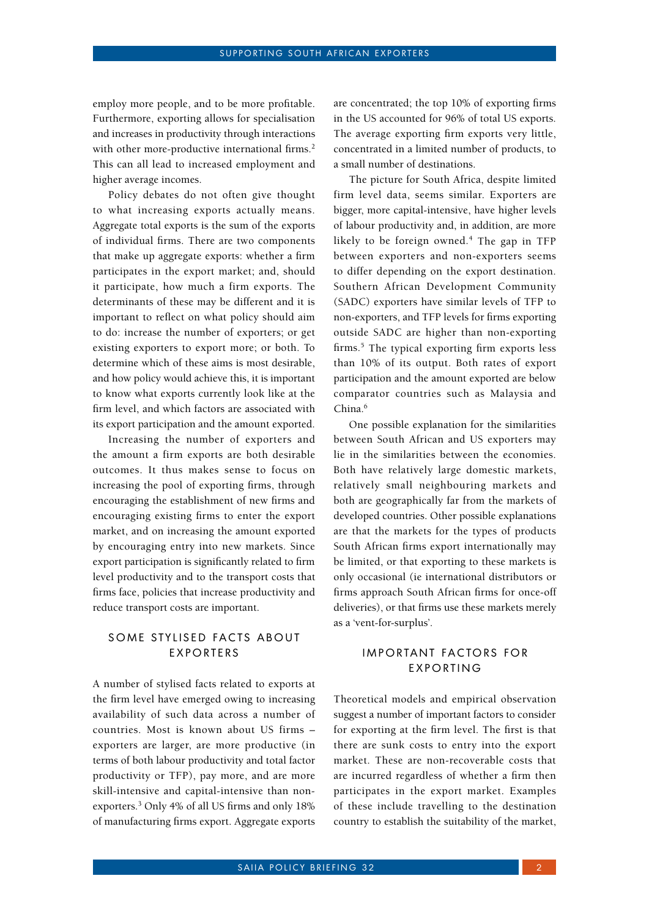employ more people, and to be more profitable. Furthermore, exporting allows for specialisation and increases in productivity through interactions with other more-productive international firms.<sup>2</sup> This can all lead to increased employment and higher average incomes.

Policy debates do not often give thought to what increasing exports actually means. Aggregate total exports is the sum of the exports of individual firms. There are two components that make up aggregate exports: whether a firm participates in the export market; and, should it participate, how much a firm exports. The determinants of these may be different and it is important to reflect on what policy should aim to do: increase the number of exporters; or get existing exporters to export more; or both. To determine which of these aims is most desirable, and how policy would achieve this, it is important to know what exports currently look like at the firm level, and which factors are associated with its export participation and the amount exported.

Increasing the number of exporters and the amount a firm exports are both desirable outcomes. It thus makes sense to focus on increasing the pool of exporting firms, through encouraging the establishment of new firms and encouraging existing firms to enter the export market, and on increasing the amount exported by encouraging entry into new markets. Since export participation is significantly related to firm level productivity and to the transport costs that firms face, policies that increase productivity and reduce transport costs are important.

### SOME STYLISED FACTS ABOUT **EXPORTERS**

A number of stylised facts related to exports at the firm level have emerged owing to increasing availability of such data across a number of countries. Most is known about US firms – exporters are larger, are more productive (in terms of both labour productivity and total factor productivity or TFP), pay more, and are more skill-intensive and capital-intensive than nonexporters.3 Only 4% of all US firms and only 18% of manufacturing firms export. Aggregate exports

are concentrated; the top 10% of exporting firms in the US accounted for 96% of total US exports. The average exporting firm exports very little, concentrated in a limited number of products, to a small number of destinations.

The picture for South Africa, despite limited firm level data, seems similar. Exporters are bigger, more capital-intensive, have higher levels of labour productivity and, in addition, are more likely to be foreign owned.<sup>4</sup> The gap in TFP between exporters and non-exporters seems to differ depending on the export destination. Southern African Development Community (SADC) exporters have similar levels of TFP to non-exporters, and TFP levels for firms exporting outside SADC are higher than non-exporting firms.<sup>5</sup> The typical exporting firm exports less than 10% of its output. Both rates of export participation and the amount exported are below comparator countries such as Malaysia and China.<sup>6</sup>

One possible explanation for the similarities between South African and US exporters may lie in the similarities between the economies. Both have relatively large domestic markets, relatively small neighbouring markets and both are geographically far from the markets of developed countries. Other possible explanations are that the markets for the types of products South African firms export internationally may be limited, or that exporting to these markets is only occasional (ie international distributors or firms approach South African firms for once-off deliveries), or that firms use these markets merely as a 'vent-for-surplus'.

#### **IMPORTANT FACTORS FOR EXPORTING**

Theoretical models and empirical observation suggest a number of important factors to consider for exporting at the firm level. The first is that there are sunk costs to entry into the export market. These are non-recoverable costs that are incurred regardless of whether a firm then participates in the export market. Examples of these include travelling to the destination country to establish the suitability of the market,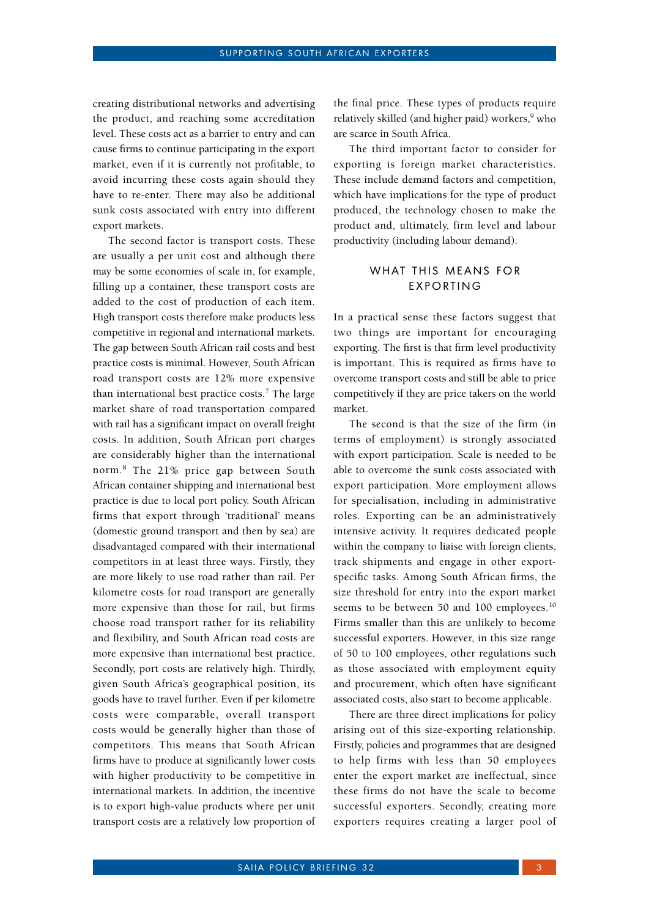creating distributional networks and advertising the product, and reaching some accreditation level. These costs act as a barrier to entry and can cause firms to continue participating in the export market, even if it is currently not profitable, to avoid incurring these costs again should they have to re-enter. There may also be additional sunk costs associated with entry into different export markets.

The second factor is transport costs. These are usually a per unit cost and although there may be some economies of scale in, for example, filling up a container, these transport costs are added to the cost of production of each item. High transport costs therefore make products less competitive in regional and international markets. The gap between South African rail costs and best practice costs is minimal. However, South African road transport costs are 12% more expensive than international best practice costs.<sup>7</sup> The large market share of road transportation compared with rail has a significant impact on overall freight costs. In addition, South African port charges are considerably higher than the international norm.8 The 21% price gap between South African container shipping and international best practice is due to local port policy. South African firms that export through 'traditional' means (domestic ground transport and then by sea) are disadvantaged compared with their international competitors in at least three ways. Firstly, they are more likely to use road rather than rail. Per kilometre costs for road transport are generally more expensive than those for rail, but firms choose road transport rather for its reliability and flexibility, and South African road costs are more expensive than international best practice. Secondly, port costs are relatively high. Thirdly, given South Africa's geographical position, its goods have to travel further. Even if per kilometre costs were comparable, overall transport costs would be generally higher than those of competitors. This means that South African firms have to produce at significantly lower costs with higher productivity to be competitive in international markets. In addition, the incentive is to export high-value products where per unit transport costs are a relatively low proportion of

the final price. These types of products require relatively skilled (and higher paid) workers,<sup>9</sup> who are scarce in South Africa.

The third important factor to consider for exporting is foreign market characteristics. These include demand factors and competition, which have implications for the type of product produced, the technology chosen to make the product and, ultimately, firm level and labour productivity (including labour demand).

#### WHAT THIS MEANS FOR **EXPORTING**

In a practical sense these factors suggest that two things are important for encouraging exporting. The first is that firm level productivity is important. This is required as firms have to overcome transport costs and still be able to price competitively if they are price takers on the world market.

The second is that the size of the firm (in terms of employment) is strongly associated with export participation. Scale is needed to be able to overcome the sunk costs associated with export participation. More employment allows for specialisation, including in administrative roles. Exporting can be an administratively intensive activity. It requires dedicated people within the company to liaise with foreign clients, track shipments and engage in other exportspecific tasks. Among South African firms, the size threshold for entry into the export market seems to be between 50 and 100 employees.<sup>10</sup> Firms smaller than this are unlikely to become successful exporters. However, in this size range of 50 to 100 employees, other regulations such as those associated with employment equity and procurement, which often have significant associated costs, also start to become applicable.

There are three direct implications for policy arising out of this size-exporting relationship. Firstly, policies and programmes that are designed to help firms with less than 50 employees enter the export market are ineffectual, since these firms do not have the scale to become successful exporters. Secondly, creating more exporters requires creating a larger pool of